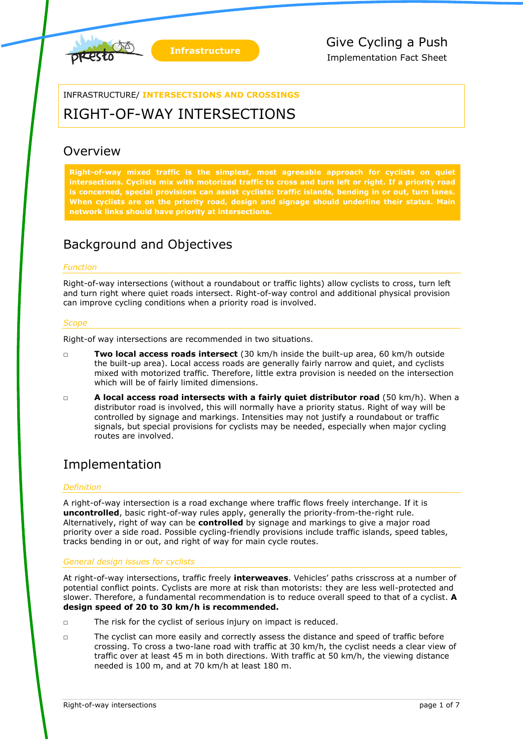



INFRASTRUCTURE/ **INTERSECTSIONS AND CROSSINGS**

# RIGHT-OF-WAY INTERSECTIONS

## **Overview**

**Right-of-way mixed traffic is the simplest, most agreeable approach for cyclists on quiet intersections. Cyclists mix with motorized traffic to cross and turn left or right. If a priority road is concerned, special provisions can assist cyclists: traffic islands, bending in or out, turn lanes. When cyclists are on the priority road, design and signage should underline their status. Main network links should have priority at intersections.**

## Background and Objectives

### *Function*

Right-of-way intersections (without a roundabout or traffic lights) allow cyclists to cross, turn left and turn right where quiet roads intersect. Right-of-way control and additional physical provision can improve cycling conditions when a priority road is involved.

#### *Scope*

Right-of way intersections are recommended in two situations.

- □ **Two local access roads intersect** (30 km/h inside the built-up area, 60 km/h outside the built-up area). Local access roads are generally fairly narrow and quiet, and cyclists mixed with motorized traffic. Therefore, little extra provision is needed on the intersection which will be of fairly limited dimensions.
- □ **A local access road intersects with a fairly quiet distributor road** (50 km/h). When a distributor road is involved, this will normally have a priority status. Right of way will be controlled by signage and markings. Intensities may not justify a roundabout or traffic signals, but special provisions for cyclists may be needed, especially when major cycling routes are involved.

### Implementation

#### *Definition*

A right-of-way intersection is a road exchange where traffic flows freely interchange. If it is **uncontrolled**, basic right-of-way rules apply, generally the priority-from-the-right rule. Alternatively, right of way can be **controlled** by signage and markings to give a major road priority over a side road. Possible cycling-friendly provisions include traffic islands, speed tables, tracks bending in or out, and right of way for main cycle routes.

#### *General design issues for cyclists*

At right-of-way intersections, traffic freely **interweaves**. Vehicles' paths crisscross at a number of potential conflict points. Cyclists are more at risk than motorists: they are less well-protected and slower. Therefore, a fundamental recommendation is to reduce overall speed to that of a cyclist. **A design speed of 20 to 30 km/h is recommended.**

- □ The risk for the cyclist of serious injury on impact is reduced.
- □ The cyclist can more easily and correctly assess the distance and speed of traffic before crossing. To cross a two-lane road with traffic at 30 km/h, the cyclist needs a clear view of traffic over at least 45 m in both directions. With traffic at 50 km/h, the viewing distance needed is 100 m, and at 70 km/h at least 180 m.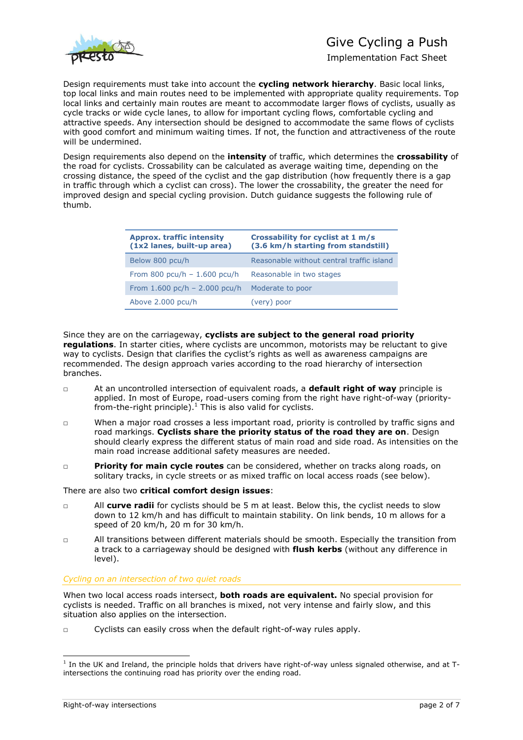

## Give Cycling a Push

Implementation Fact Sheet

Design requirements must take into account the **cycling network hierarchy**. Basic local links, top local links and main routes need to be implemented with appropriate quality requirements. Top local links and certainly main routes are meant to accommodate larger flows of cyclists, usually as cycle tracks or wide cycle lanes, to allow for important cycling flows, comfortable cycling and attractive speeds. Any intersection should be designed to accommodate the same flows of cyclists with good comfort and minimum waiting times. If not, the function and attractiveness of the route will be undermined.

Design requirements also depend on the **intensity** of traffic, which determines the **crossability** of the road for cyclists. Crossability can be calculated as average waiting time, depending on the crossing distance, the speed of the cyclist and the gap distribution (how frequently there is a gap in traffic through which a cyclist can cross). The lower the crossability, the greater the need for improved design and special cycling provision. Dutch guidance suggests the following rule of thumb.

| <b>Approx. traffic intensity</b><br>(1x2 lanes, built-up area) | Crossability for cyclist at 1 m/s<br>(3.6 km/h starting from standstill) |
|----------------------------------------------------------------|--------------------------------------------------------------------------|
| Below 800 pcu/h                                                | Reasonable without central traffic island                                |
| From 800 pcu/h $- 1.600$ pcu/h                                 | Reasonable in two stages                                                 |
| From $1.600$ pc/h - $2.000$ pcu/h                              | Moderate to poor                                                         |
| Above 2.000 pcu/h                                              | (very) poor                                                              |

Since they are on the carriageway, **cyclists are subject to the general road priority regulations**. In starter cities, where cyclists are uncommon, motorists may be reluctant to give way to cyclists. Design that clarifies the cyclist's rights as well as awareness campaigns are recommended. The design approach varies according to the road hierarchy of intersection branches.

- □ At an uncontrolled intersection of equivalent roads, a **default right of way** principle is applied. In most of Europe, road-users coming from the right have right-of-way (priorityfrom-the-right principle). $<sup>1</sup>$  This is also valid for cyclists.</sup>
- □ When a major road crosses a less important road, priority is controlled by traffic signs and road markings. **Cyclists share the priority status of the road they are on**. Design should clearly express the different status of main road and side road. As intensities on the main road increase additional safety measures are needed.
- □ **Priority for main cycle routes** can be considered, whether on tracks along roads, on solitary tracks, in cycle streets or as mixed traffic on local access roads (see below).

There are also two **critical comfort design issues**:

- □ All **curve radii** for cyclists should be 5 m at least. Below this, the cyclist needs to slow down to 12 km/h and has difficult to maintain stability. On link bends, 10 m allows for a speed of 20 km/h, 20 m for 30 km/h.
- □ All transitions between different materials should be smooth. Especially the transition from a track to a carriageway should be designed with **flush kerbs** (without any difference in level).

#### *Cycling on an intersection of two quiet roads*

When two local access roads intersect, **both roads are equivalent.** No special provision for cyclists is needed. Traffic on all branches is mixed, not very intense and fairly slow, and this situation also applies on the intersection.

□ Cyclists can easily cross when the default right-of-way rules apply.

-

<sup>&</sup>lt;sup>1</sup> In the UK and Ireland, the principle holds that drivers have right-of-way unless signaled otherwise, and at Tintersections the continuing road has priority over the ending road.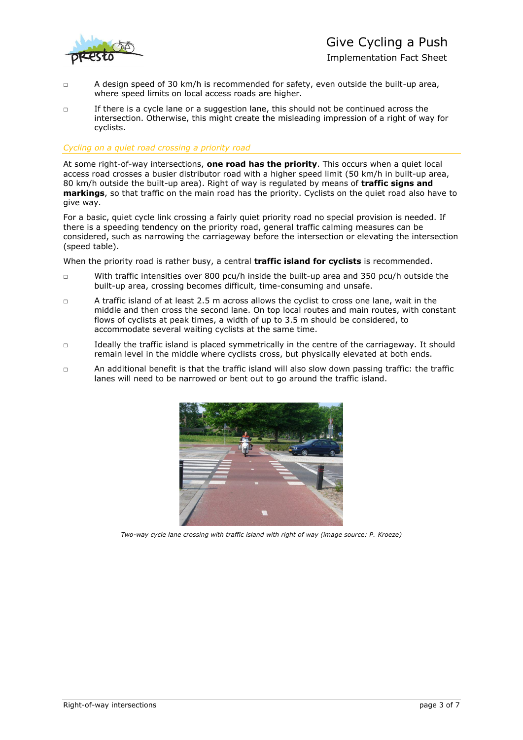

- $\Box$  A design speed of 30 km/h is recommended for safety, even outside the built-up area, where speed limits on local access roads are higher.
- □ If there is a cycle lane or a suggestion lane, this should not be continued across the intersection. Otherwise, this might create the misleading impression of a right of way for cyclists.

#### *Cycling on a quiet road crossing a priority road*

At some right-of-way intersections, **one road has the priority**. This occurs when a quiet local access road crosses a busier distributor road with a higher speed limit (50 km/h in built-up area, 80 km/h outside the built-up area). Right of way is regulated by means of **traffic signs and markings**, so that traffic on the main road has the priority. Cyclists on the quiet road also have to give way.

For a basic, quiet cycle link crossing a fairly quiet priority road no special provision is needed. If there is a speeding tendency on the priority road, general traffic calming measures can be considered, such as narrowing the carriageway before the intersection or elevating the intersection (speed table).

When the priority road is rather busy, a central **traffic island for cyclists** is recommended.

- □ With traffic intensities over 800 pcu/h inside the built-up area and 350 pcu/h outside the built-up area, crossing becomes difficult, time-consuming and unsafe.
- □ A traffic island of at least 2.5 m across allows the cyclist to cross one lane, wait in the middle and then cross the second lane. On top local routes and main routes, with constant flows of cyclists at peak times, a width of up to 3.5 m should be considered, to accommodate several waiting cyclists at the same time.
- □ Ideally the traffic island is placed symmetrically in the centre of the carriageway. It should remain level in the middle where cyclists cross, but physically elevated at both ends.
- □ An additional benefit is that the traffic island will also slow down passing traffic: the traffic lanes will need to be narrowed or bent out to go around the traffic island.



*Two-way cycle lane crossing with traffic island with right of way (image source: P. Kroeze)*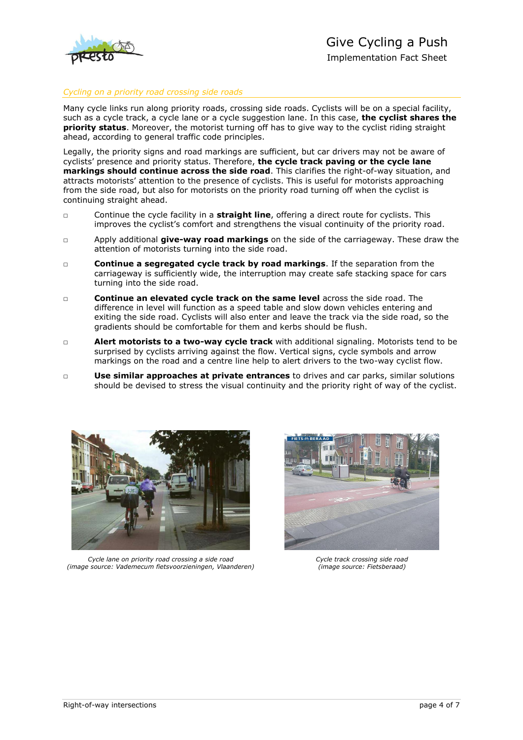

### *Cycling on a priority road crossing side roads*

Many cycle links run along priority roads, crossing side roads. Cyclists will be on a special facility, such as a cycle track, a cycle lane or a cycle suggestion lane. In this case, **the cyclist shares the priority status**. Moreover, the motorist turning off has to give way to the cyclist riding straight ahead, according to general traffic code principles.

Legally, the priority signs and road markings are sufficient, but car drivers may not be aware of cyclists' presence and priority status. Therefore, **the cycle track paving or the cycle lane markings should continue across the side road**. This clarifies the right-of-way situation, and attracts motorists' attention to the presence of cyclists. This is useful for motorists approaching from the side road, but also for motorists on the priority road turning off when the cyclist is continuing straight ahead.

- □ Continue the cycle facility in a **straight line**, offering a direct route for cyclists. This improves the cyclist's comfort and strengthens the visual continuity of the priority road.
- □ Apply additional **give-way road markings** on the side of the carriageway. These draw the attention of motorists turning into the side road.
- □ **Continue a segregated cycle track by road markings**. If the separation from the carriageway is sufficiently wide, the interruption may create safe stacking space for cars turning into the side road.
- □ **Continue an elevated cycle track on the same level** across the side road. The difference in level will function as a speed table and slow down vehicles entering and exiting the side road. Cyclists will also enter and leave the track via the side road, so the gradients should be comfortable for them and kerbs should be flush.
- □ **Alert motorists to a two-way cycle track** with additional signaling. Motorists tend to be surprised by cyclists arriving against the flow. Vertical signs, cycle symbols and arrow markings on the road and a centre line help to alert drivers to the two-way cyclist flow.
- □ **Use similar approaches at private entrances** to drives and car parks, similar solutions should be devised to stress the visual continuity and the priority right of way of the cyclist.



*Cycle lane on priority road crossing a side road (image source: Vademecum fietsvoorzieningen, Vlaanderen)*



*Cycle track crossing side road (image source: Fietsberaad)*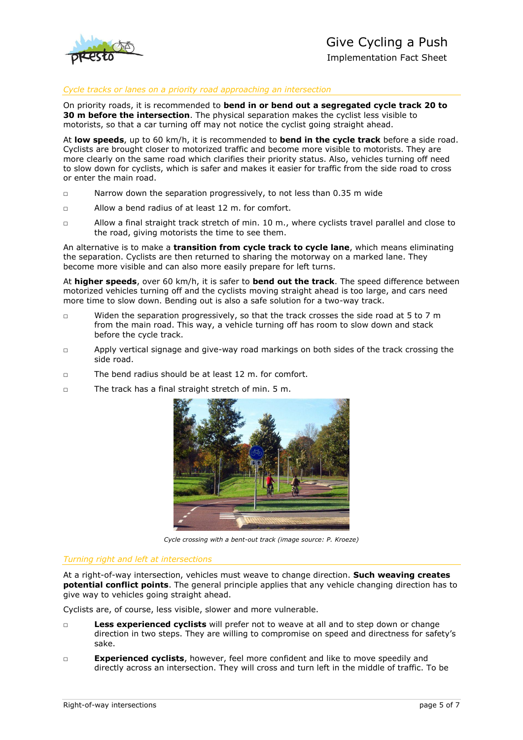

### *Cycle tracks or lanes on a priority road approaching an intersection*

On priority roads, it is recommended to **bend in or bend out a segregated cycle track 20 to 30 m before the intersection**. The physical separation makes the cyclist less visible to motorists, so that a car turning off may not notice the cyclist going straight ahead.

At **low speeds**, up to 60 km/h, it is recommended to **bend in the cycle track** before a side road. Cyclists are brought closer to motorized traffic and become more visible to motorists. They are more clearly on the same road which clarifies their priority status. Also, vehicles turning off need to slow down for cyclists, which is safer and makes it easier for traffic from the side road to cross or enter the main road.

- □ Narrow down the separation progressively, to not less than 0.35 m wide
- $\nabla$  Allow a bend radius of at least 12 m. for comfort.
- □ Allow a final straight track stretch of min. 10 m., where cyclists travel parallel and close to the road, giving motorists the time to see them.

An alternative is to make a **transition from cycle track to cycle lane**, which means eliminating the separation. Cyclists are then returned to sharing the motorway on a marked lane. They become more visible and can also more easily prepare for left turns.

At **higher speeds**, over 60 km/h, it is safer to **bend out the track**. The speed difference between motorized vehicles turning off and the cyclists moving straight ahead is too large, and cars need more time to slow down. Bending out is also a safe solution for a two-way track.

- □ Widen the separation progressively, so that the track crosses the side road at 5 to 7 m from the main road. This way, a vehicle turning off has room to slow down and stack before the cycle track.
- □ Apply vertical signage and give-way road markings on both sides of the track crossing the side road.
- □ The bend radius should be at least 12 m. for comfort.
- □ The track has a final straight stretch of min. 5 m.



*Cycle crossing with a bent-out track (image source: P. Kroeze)*

#### *Turning right and left at intersections*

At a right-of-way intersection, vehicles must weave to change direction. **Such weaving creates potential conflict points**. The general principle applies that any vehicle changing direction has to give way to vehicles going straight ahead.

Cyclists are, of course, less visible, slower and more vulnerable.

- □ **Less experienced cyclists** will prefer not to weave at all and to step down or change direction in two steps. They are willing to compromise on speed and directness for safety's sake.
- □ **Experienced cyclists**, however, feel more confident and like to move speedily and directly across an intersection. They will cross and turn left in the middle of traffic. To be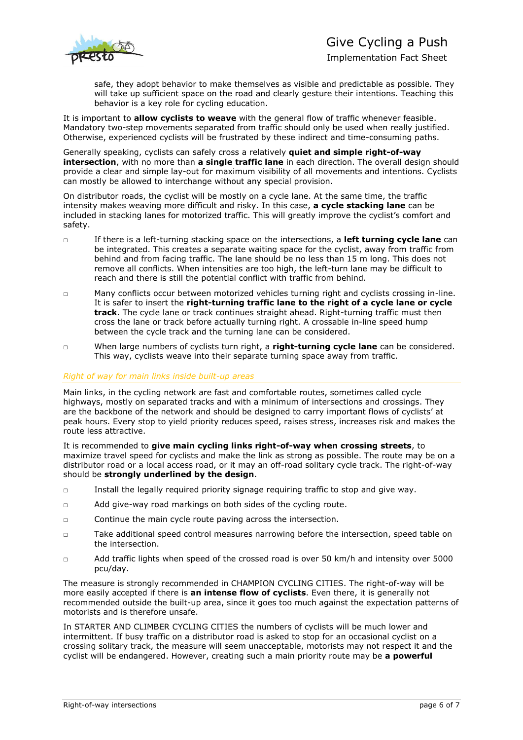## Give Cycling a Push



Implementation Fact Sheet

safe, they adopt behavior to make themselves as visible and predictable as possible. They will take up sufficient space on the road and clearly gesture their intentions. Teaching this behavior is a key role for cycling education.

It is important to **allow cyclists to weave** with the general flow of traffic whenever feasible. Mandatory two-step movements separated from traffic should only be used when really justified. Otherwise, experienced cyclists will be frustrated by these indirect and time-consuming paths.

Generally speaking, cyclists can safely cross a relatively **quiet and simple right-of-way intersection**, with no more than **a single traffic lane** in each direction. The overall design should provide a clear and simple lay-out for maximum visibility of all movements and intentions. Cyclists can mostly be allowed to interchange without any special provision.

On distributor roads, the cyclist will be mostly on a cycle lane. At the same time, the traffic intensity makes weaving more difficult and risky. In this case, **a cycle stacking lane** can be included in stacking lanes for motorized traffic. This will greatly improve the cyclist's comfort and safety.

- □ If there is a left-turning stacking space on the intersections, a **left turning cycle lane** can be integrated. This creates a separate waiting space for the cyclist, away from traffic from behind and from facing traffic. The lane should be no less than 15 m long. This does not remove all conflicts. When intensities are too high, the left-turn lane may be difficult to reach and there is still the potential conflict with traffic from behind.
- □ Many conflicts occur between motorized vehicles turning right and cyclists crossing in-line. It is safer to insert the **right-turning traffic lane to the right of a cycle lane or cycle track**. The cycle lane or track continues straight ahead. Right-turning traffic must then cross the lane or track before actually turning right. A crossable in-line speed hump between the cycle track and the turning lane can be considered.
- □ When large numbers of cyclists turn right, a **right-turning cycle lane** can be considered. This way, cyclists weave into their separate turning space away from traffic.

#### *Right of way for main links inside built-up areas*

Main links, in the cycling network are fast and comfortable routes, sometimes called cycle highways, mostly on separated tracks and with a minimum of intersections and crossings. They are the backbone of the network and should be designed to carry important flows of cyclists' at peak hours. Every stop to yield priority reduces speed, raises stress, increases risk and makes the route less attractive.

It is recommended to **give main cycling links right-of-way when crossing streets**, to maximize travel speed for cyclists and make the link as strong as possible. The route may be on a distributor road or a local access road, or it may an off-road solitary cycle track. The right-of-way should be **strongly underlined by the design**.

- □ Install the legally required priority signage requiring traffic to stop and give way.
- □ Add give-way road markings on both sides of the cycling route.
- □ Continue the main cycle route paving across the intersection.
- □ Take additional speed control measures narrowing before the intersection, speed table on the intersection.
- □ Add traffic lights when speed of the crossed road is over 50 km/h and intensity over 5000 pcu/day.

The measure is strongly recommended in CHAMPION CYCLING CITIES. The right-of-way will be more easily accepted if there is **an intense flow of cyclists**. Even there, it is generally not recommended outside the built-up area, since it goes too much against the expectation patterns of motorists and is therefore unsafe.

In STARTER AND CLIMBER CYCLING CITIES the numbers of cyclists will be much lower and intermittent. If busy traffic on a distributor road is asked to stop for an occasional cyclist on a crossing solitary track, the measure will seem unacceptable, motorists may not respect it and the cyclist will be endangered. However, creating such a main priority route may be **a powerful**